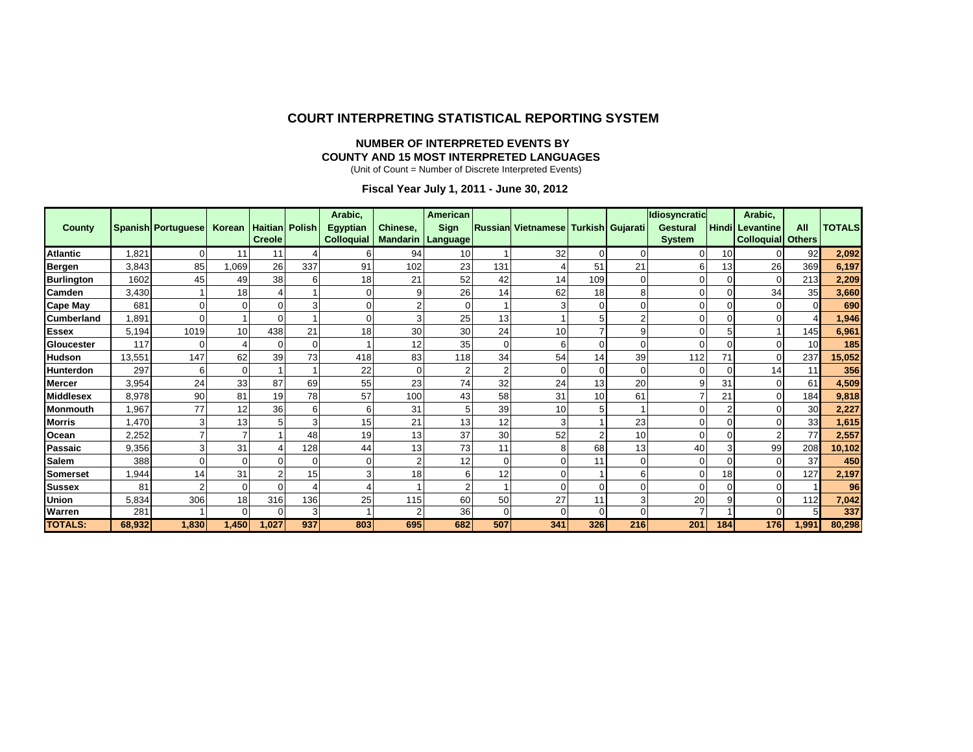#### **COURT INTERPRETING STATISTICAL REPORTING SYSTEM**

#### **NUMBER OF INTERPRETED EVENTS BY COUNTY AND 15 MOST INTERPRETED LANGUAGES**

(Unit of Count = Number of Discrete Interpreted Events)

 **Fiscal Year July 1, 2011 - June 30, 2012**

|                   |        |                           |          |                       |          | Arabic,           |                          | American       |                |                                     |     |          | Idiosyncratic   |              | Arabic,                  |       |               |
|-------------------|--------|---------------------------|----------|-----------------------|----------|-------------------|--------------------------|----------------|----------------|-------------------------------------|-----|----------|-----------------|--------------|--------------------------|-------|---------------|
| <b>County</b>     |        | <b>Spanish Portuguese</b> | Korean   | <b>Haitian</b> Polish |          | <b>Egyptian</b>   | Chinese.                 | Sign           |                | Russian Vietnamese Turkish Gujarati |     |          | <b>Gestural</b> | <b>Hindi</b> | Levantine                | All   | <b>TOTALS</b> |
|                   |        |                           |          | <b>Creole</b>         |          | <b>Colloquial</b> | <b>Mandarin Language</b> |                |                |                                     |     |          | <b>System</b>   |              | <b>Colloquial Others</b> |       |               |
| <b>Atlantic</b>   | 1,821  |                           | 11       | 11                    |          |                   | 94                       | 10             |                | 32                                  |     | $\Omega$ | 0               | 10           | U                        | 92    | 2,092         |
| Bergen            | 3,843  | 85                        | 1,069    | 26                    | 337      | 91                | 102                      | 23             | 131            |                                     | 51  | 21       | 6               | 13           | 26                       | 369   | 6,197         |
| <b>Burlington</b> | 1602   | 45                        | 49       | 38                    | 6        | 18                | 21                       | 52             | 42             | 14                                  | 109 | $\Omega$ |                 | 0            | 0                        | 213   | 2,209         |
| <b>Camden</b>     | 3,430  |                           | 18       |                       |          |                   | 9                        | 26             | 14             | 62                                  | 18  | 8        |                 | 0            | 34                       | 35    | 3,660         |
| <b>Cape May</b>   | 681    |                           |          | $\Omega$              |          |                   |                          | 0              |                |                                     |     |          |                 |              |                          |       | 690           |
| <b>Cumberland</b> | 1,891  |                           |          | $\Omega$              |          |                   |                          | 25             | 13             |                                     |     |          |                 |              |                          |       | 1,946         |
| <b>Essex</b>      | 5,194  | 1019                      | 10       | 438                   | 21       | 18                | 30                       | 30             | 24             | 10                                  |     | 9        |                 | 5            |                          | 145   | 6,961         |
| Gloucester        | 117    |                           |          | $\Omega$              | $\Omega$ |                   | 12                       | 35             | $\Omega$       |                                     |     |          |                 |              |                          | 10    | 185           |
| <b>Hudson</b>     | 13,551 | 147                       | 62       | 39                    | 73       | 418               | 83                       | 118            | 34             | 54                                  | 14  | 39       | 112             | 71           | 0                        | 237   | 15,052        |
| <b>Hunterdon</b>  | 297    | 6                         | 0        |                       |          | 22                |                          |                | $\overline{2}$ |                                     |     |          |                 | 0            | 14                       | 11    | 356           |
| <b>Mercer</b>     | 3,954  | 24                        | 33       | 87                    | 69       | 55                | 23                       | 74             | 32             | 24                                  | 13  | 20       | 9               | 31           | 0                        | 61    | 4,509         |
| <b>Middlesex</b>  | 8,978  | 90                        | 81       | 19                    | 78       | 57                | 100                      | 43             | 58             | 31                                  | 10  | 61       |                 | 21           | 0                        | 184   | 9,818         |
| Monmouth          | 1,967  | 77                        | 12       | 36                    | 6        | 6                 | 31                       | 5              | 39             | 10                                  |     |          |                 |              |                          | 30    | 2,227         |
| <b>Morris</b>     | 1,470  |                           | 131      | 5                     |          | 15                | 21                       | 13             | 12             |                                     |     | 23       |                 |              |                          | 33    | 1,615         |
| <b>Ocean</b>      | 2,252  |                           |          |                       | 48       | 19                | 13                       | 37             | 30             | 52                                  |     | 10       | $\Omega$        |              |                          | 77    | 2,557         |
| Passaic           | 9,356  |                           | 31       |                       | 128      | 44                | 13                       | 73             | 11             |                                     | 68  | 13       | 40              |              | 99                       | 208   | 10,102        |
| <b>Salem</b>      | 388    |                           | 0        | ∩                     | C        |                   |                          | 12             | 0              |                                     | 11  | ∩        | $\Omega$        |              | 0                        | 37    | 450           |
| <b>Somerset</b>   | 1,944  | 14                        | 31       |                       | 15       |                   | 18                       | 6              | 12             |                                     |     |          |                 | 18           |                          | 127   | 2,197         |
| <b>Sussex</b>     | 81     |                           | 0        | $\Omega$              |          |                   |                          | $\overline{2}$ |                |                                     |     |          |                 |              |                          |       | 96            |
| <b>Union</b>      | 5,834  | 306                       | 18       | 316                   | 136      | 25                | 115                      | 60             | 50             | 27                                  | 11  |          | 20              |              | 0                        | 112   | 7,042         |
| Warren            | 281    |                           | $\Omega$ | $\Omega$              | Э        |                   | 2                        | 36             | $\Omega$       |                                     |     |          |                 |              | U                        |       | 337           |
| <b>TOTALS:</b>    | 68,932 | 1,830                     | 1,450    | 1,027                 | 937      | 803               | 695                      | 682            | 507            | 341                                 | 326 | 216      | 201             | 184          | 176                      | 1,991 | 80,298        |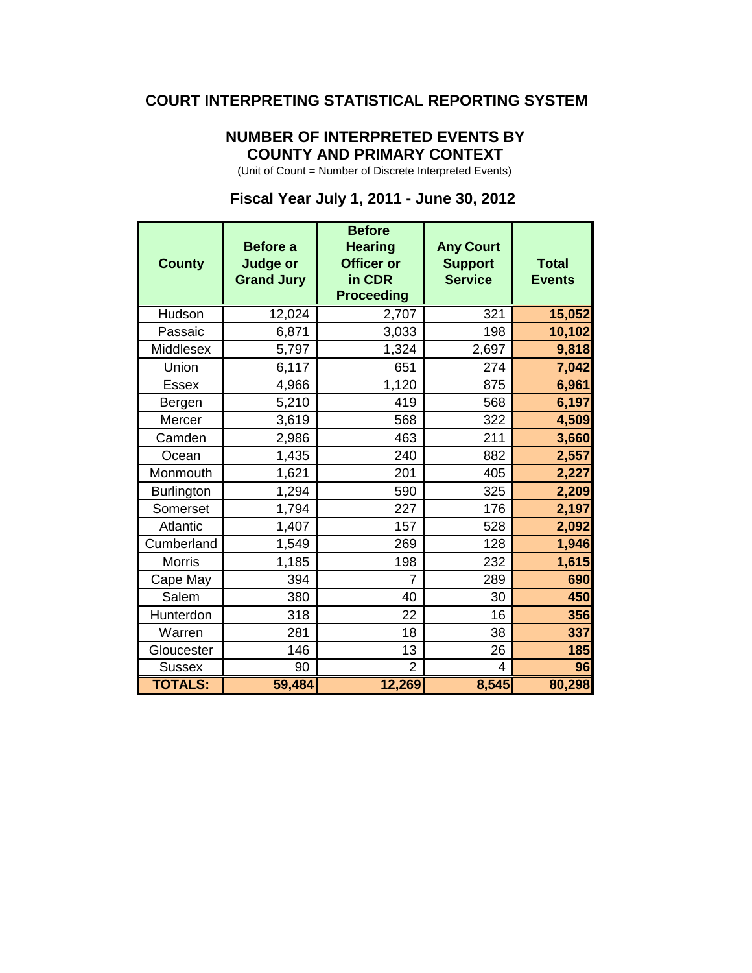#### **COURT INTERPRETING STATISTICAL REPORTING SYSTEM**

## **NUMBER OF INTERPRETED EVENTS BY COUNTY AND PRIMARY CONTEXT**

(Unit of Count = Number of Discrete Interpreted Events)

### **Before Before a Hearing Any Court County Judge or Officer or Support Total Grand Jury in CDR Service Events Proceeding** Hudson 12,024 2,707 321 **15,052** Passaic 6,871 3,033 198 10,102 Middlesex **1,324 2,697 9,818** Union 6,117 651 274 **7,042** Essex 4,966 1,120 875 **6,961** Bergen **6,210** 419 568 6,197 Mercer **1** 3,619 568 322 4,509 Camden 2,986 463 211 **3,660** Ocean 1,435 240 882 **2,557** Monmouth 1,621 201 405 2,227 Burlington 1,294 590 325 2,209 Somerset 1,794 227 176 2,197 Atlantic **1,407 157** 157 528 **2,092** Cumberland 1,549 269 128 **1,946** Morris **1,185 198** 232 1**,615** Cape May **394 690 690** Salem | 380 | 40 | 30 <mark>450</mark> Hunterdon 318 22 16 356 Warren **1** 281 18 38 337 Gloucester **146 13 26 185** Sussex | 90 | 2 | 4 | 9<mark>6</mark> **TOTALS: 59,484 12,269 8,545 80,298**

#### **Fiscal Year July 1, 2011 - June 30, 2012**